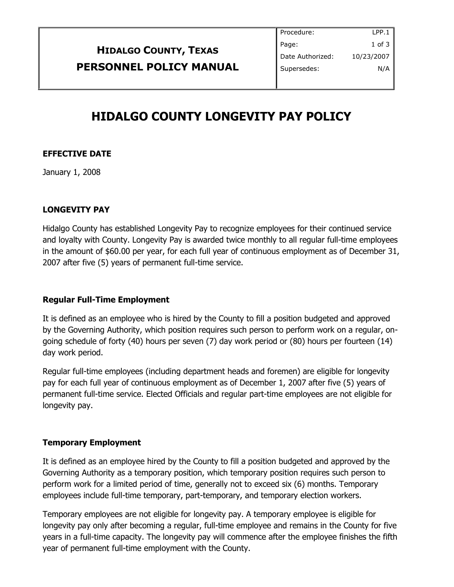|                                | Procedure:       | LPP.1      |
|--------------------------------|------------------|------------|
| <b>HIDALGO COUNTY, TEXAS</b>   | Page:            | $1$ of $3$ |
|                                | Date Authorized: | 10/23/2007 |
| <b>PERSONNEL POLICY MANUAL</b> | Supersedes:      | N/A        |
|                                |                  |            |

# **HIDALGO COUNTY LONGEVITY PAY POLICY**

# **EFFECTIVE DATE**

January 1, 2008

## **LONGEVITY PAY**

Hidalgo County has established Longevity Pay to recognize employees for their continued service and loyalty with County. Longevity Pay is awarded twice monthly to all regular full-time employees in the amount of \$60.00 per year, for each full year of continuous employment as of December 31, 2007 after five (5) years of permanent full-time service.

# **Regular Full-Time Employment**

It is defined as an employee who is hired by the County to fill a position budgeted and approved by the Governing Authority, which position requires such person to perform work on a regular, ongoing schedule of forty (40) hours per seven (7) day work period or (80) hours per fourteen (14) day work period.

Regular full-time employees (including department heads and foremen) are eligible for longevity pay for each full year of continuous employment as of December 1, 2007 after five (5) years of permanent full-time service. Elected Officials and regular part-time employees are not eligible for longevity pay.

#### **Temporary Employment**

It is defined as an employee hired by the County to fill a position budgeted and approved by the Governing Authority as a temporary position, which temporary position requires such person to perform work for a limited period of time, generally not to exceed six (6) months. Temporary employees include full-time temporary, part-temporary, and temporary election workers.

Temporary employees are not eligible for longevity pay. A temporary employee is eligible for longevity pay only after becoming a regular, full-time employee and remains in the County for five years in a full-time capacity. The longevity pay will commence after the employee finishes the fifth year of permanent full-time employment with the County.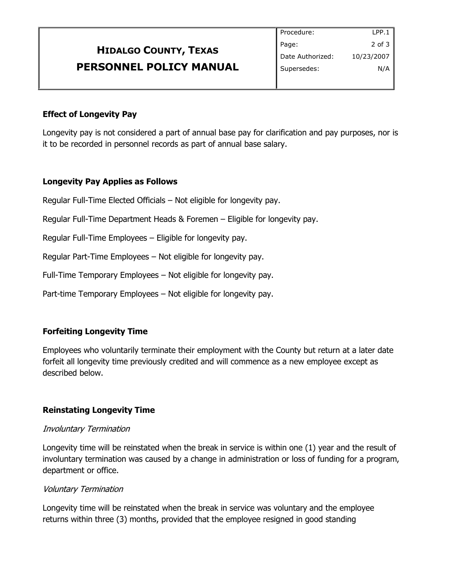|                              | Procedure:       | LPP.1      |
|------------------------------|------------------|------------|
| <b>HIDALGO COUNTY, TEXAS</b> | Page:            | 2 of 3     |
|                              | Date Authorized: | 10/23/2007 |
| PERSONNEL POLICY MANUAL      | Supersedes:      | N/A        |
|                              |                  |            |

## **Effect of Longevity Pay**

Longevity pay is not considered a part of annual base pay for clarification and pay purposes, nor is it to be recorded in personnel records as part of annual base salary.

## **Longevity Pay Applies as Follows**

Regular Full-Time Elected Officials – Not eligible for longevity pay.

Regular Full-Time Department Heads & Foremen – Eligible for longevity pay.

Regular Full-Time Employees – Eligible for longevity pay.

Regular Part-Time Employees – Not eligible for longevity pay.

Full-Time Temporary Employees – Not eligible for longevity pay.

Part-time Temporary Employees – Not eligible for longevity pay.

# **Forfeiting Longevity Time**

Employees who voluntarily terminate their employment with the County but return at a later date forfeit all longevity time previously credited and will commence as a new employee except as described below.

# **Reinstating Longevity Time**

#### Involuntary Termination

Longevity time will be reinstated when the break in service is within one (1) year and the result of involuntary termination was caused by a change in administration or loss of funding for a program, department or office.

#### Voluntary Termination

Longevity time will be reinstated when the break in service was voluntary and the employee returns within three (3) months, provided that the employee resigned in good standing